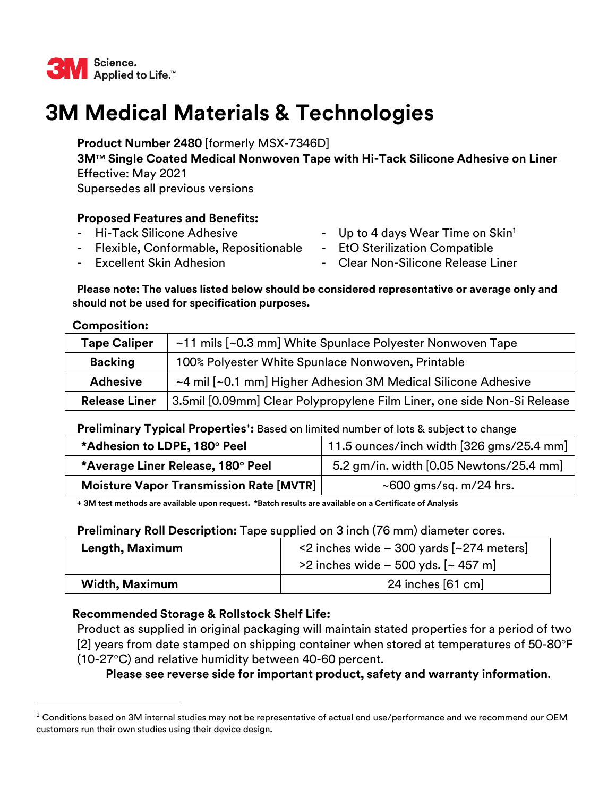

# **3M Medical Materials & Technologies**

 **3MTM Single Coated Medical Nonwoven Tape with Hi-Tack Silicone Adhesive on Liner** Effective: May 2021 Supersedes all previous versions **Product Number 2480** [formerly MSX-7346D]

## **Proposed Features and Benefits:**

- 
- Flexible, Conformable, Repositionable EtO Sterilization Compatible
- Hi-Tack Silicone Adhesive  **Access** Up to 4 days Wear Time on Skin<sup>1</sup>
	-
- **Excellent Skin Adhesion**
- Clear Non-Silicone Release Liner

#### **Please note: The values listed below should be considered representative or average only and should not be used for specification purposes.**

#### **Composition:**

| <b>Tape Caliper</b>  | ~11 mils [~0.3 mm] White Spunlace Polyester Nonwoven Tape               |  |
|----------------------|-------------------------------------------------------------------------|--|
| <b>Backing</b>       | 100% Polyester White Spunlace Nonwoven, Printable                       |  |
| <b>Adhesive</b>      | ~4 mil [~0.1 mm] Higher Adhesion 3M Medical Silicone Adhesive           |  |
| <b>Release Liner</b> | 3.5mil [0.09mm] Clear Polypropylene Film Liner, one side Non-Si Release |  |

#### Preliminary Typical Properties<sup>+</sup>: Based on limited number of lots & subject to change

| *Adhesion to LDPE, 180° Peel            | 11.5 ounces/inch width [326 gms/25.4 mm] |
|-----------------------------------------|------------------------------------------|
| *Average Liner Release, 180° Peel       | 5.2 gm/in. width [0.05 Newtons/25.4 mm]  |
| Moisture Vapor Transmission Rate [MVTR] | $\sim$ 600 gms/sq. m/24 hrs.             |

**+ 3M test methods are available upon request. \*Batch results are available on a Certificate of Analysis** 

## **Preliminary Roll Description:** Tape supplied on 3 inch (76 mm) diameter cores.

| Length, Maximum       | $\leq$ 2 inches wide - 300 yards [ $\approx$ 274 meters]<br>$>$ 2 inches wide – 500 yds. [~ 457 m] |
|-----------------------|----------------------------------------------------------------------------------------------------|
| <b>Width, Maximum</b> | 24 inches $[61$ cm $]$                                                                             |

# **Recommended Storage & Rollstock Shelf Life:**

Product as supplied in original packaging will maintain stated properties for a period of two [2] years from date stamped on shipping container when stored at temperatures of  $50$ -80 $\degree$ F  $(10-27\degree C)$  and relative humidity between 40-60 percent.

**Please see reverse side for important product, safety and warranty information**.

 $1$  Conditions based on 3M internal studies may not be representative of actual end use/performance and we recommend our OEM customers run their own studies using their device design.